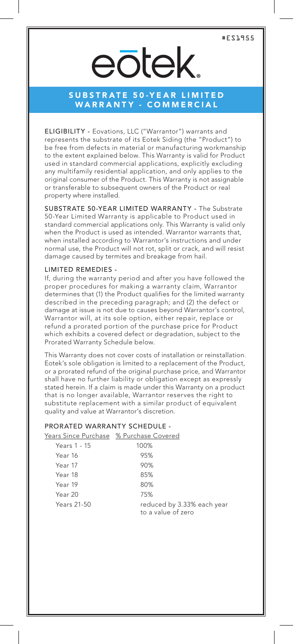#ES1955

## eōtek

### SUBSTRATE 50-YEAR LIMITED WARRANTY - COMMERCIAL

ELIGIBILITY - Eovations, LLC ("Warrantor") warrants and represents the substrate of its Eotek Siding (the "Product") to be free from defects in material or manufacturing workmanship to the extent explained below. This Warranty is valid for Product used in standard commercial applications, explicitly excluding any multifamily residential application, and only applies to the original consumer of the Product. This Warranty is not assignable or transferable to subsequent owners of the Product or real property where installed.

SUBSTRATE 50-YEAR LIMITED WARRANTY - The Substrate 50-Year Limited Warranty is applicable to Product used in standard commercial applications only. This Warranty is valid only when the Product is used as intended. Warrantor warrants that, when installed according to Warrantor's instructions and under normal use, the Product will not rot, split or crack, and will resist damage caused by termites and breakage from hail.

#### LIMITED REMEDIES -

If, during the warranty period and after you have followed the proper procedures for making a warranty claim, Warrantor determines that (1) the Product qualifies for the limited warranty described in the preceding paragraph; and (2) the defect or damage at issue is not due to causes beyond Warrantor's control, Warrantor will, at its sole option, either repair, replace or refund a prorated portion of the purchase price for Product which exhibits a covered defect or degradation, subject to the Prorated Warranty Schedule below.

This Warranty does not cover costs of installation or reinstallation. Eotek's sole obligation is limited to a replacement of the Product, or a prorated refund of the original purchase price, and Warrantor shall have no further liability or obligation except as expressly stated herein. If a claim is made under this Warranty on a product that is no longer available, Warrantor reserves the right to substitute replacement with a similar product of equivalent quality and value at Warrantor's discretion.

#### PRORATED WARRANTY SCHEDULE -

| Years Since Purchase % Purchase Covered |                                                  |
|-----------------------------------------|--------------------------------------------------|
| Years 1 - 15                            | 100%                                             |
| Year 16                                 | 95%                                              |
| Year 17                                 | 90%                                              |
| Year 18                                 | 85%                                              |
| Year 19                                 | 80%                                              |
| Year 20                                 | 75%                                              |
| Years 21-50                             | reduced by 3.33% each year<br>to a value of zero |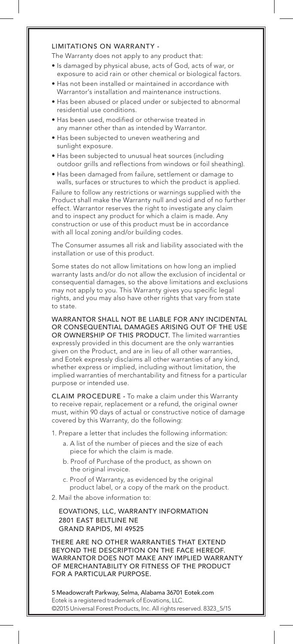#### LIMITATIONS ON WARRANTY -

The Warranty does not apply to any product that:

- Is damaged by physical abuse, acts of God, acts of war, or exposure to acid rain or other chemical or biological factors.
- Has not been installed or maintained in accordance with Warrantor's installation and maintenance instructions.
- Has been abused or placed under or subjected to abnormal residential use conditions.
- Has been used, modified or otherwise treated in any manner other than as intended by Warrantor.
- Has been subjected to uneven weathering and sunlight exposure.
- Has been subjected to unusual heat sources (including outdoor grills and reflections from windows or foil sheathing).
- Has been damaged from failure, settlement or damage to walls, surfaces or structures to which the product is applied.

Failure to follow any restrictions or warnings supplied with the Product shall make the Warranty null and void and of no further effect. Warrantor reserves the right to investigate any claim and to inspect any product for which a claim is made. Any construction or use of this product must be in accordance with all local zoning and/or building codes.

The Consumer assumes all risk and liability associated with the installation or use of this product.

Some states do not allow limitations on how long an implied warranty lasts and/or do not allow the exclusion of incidental or consequential damages, so the above limitations and exclusions may not apply to you. This Warranty gives you specific legal rights, and you may also have other rights that vary from state to state.

WARRANTOR SHALL NOT BE LIABLE FOR ANY INCIDENTAL OR CONSEQUENTIAL DAMAGES ARISING OUT OF THE USE OR OWNERSHIP OF THIS PRODUCT. The limited warranties expressly provided in this document are the only warranties given on the Product, and are in lieu of all other warranties, and Eotek expressly disclaims all other warranties of any kind, whether express or implied, including without limitation, the implied warranties of merchantability and fitness for a particular purpose or intended use.

CLAIM PROCEDURE - To make a claim under this Warranty to receive repair, replacement or a refund, the original owner must, within 90 days of actual or constructive notice of damage covered by this Warranty, do the following:

1. Prepare a letter that includes the following information:

- a. A list of the number of pieces and the size of each piece for which the claim is made.
- b. Proof of Purchase of the product, as shown on the original invoice.
- c. Proof of Warranty, as evidenced by the original product label, or a copy of the mark on the product.

2. Mail the above information to:

EOVATIONS, LLC, WARRANTY INFORMATION 2801 EAST BELTLINE NE GRAND RAPIDS, MI 49525

THERE ARE NO OTHER WARRANTIES THAT EXTEND BEYOND THE DESCRIPTION ON THE FACE HEREOF. WARRANTOR DOES NOT MAKE ANY IMPLIED WARRANTY OF MERCHANTABILITY OR FITNESS OF THE PRODUCT FOR A PARTICULAR PURPOSE.

5 Meadowcraft Parkway, Selma, Alabama 36701 Eotek.com Eotek is a registered trademark of Eovations, LLC. ©2015 Universal Forest Products, Inc. All rights reserved. 8323\_5/15